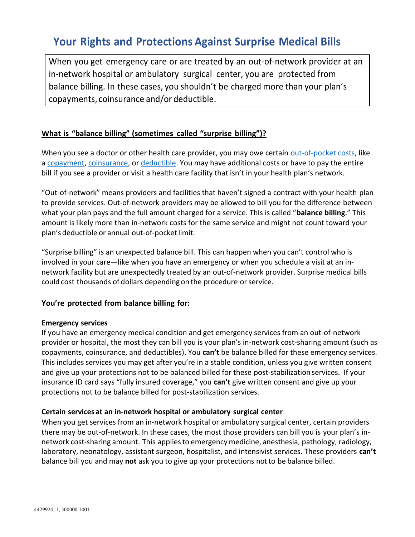# Your Rights and Protections Against Surprise Medical Bills

When you get emergency care or are treated by an out-of-network provider at an in-network hospital or ambulatory surgical center, you are protected from balance billing. In these cases, you shouldn't be charged more than your plan's copayments, coinsurance and/or deductible.

## What is "balance billing" (sometimes called "surprise billing")?

When you see a doctor or other health care provider, you may owe certain out-of-pocket costs, like a copayment, coinsurance, or deductible. You may have additional costs or have to pay the entire bill if you see a provider or visit a health care facility that isn't in your health plan's network.

"Out-of-network" means providers and facilities that haven't signed a contract with your health plan to provide services. Out-of-network providers may be allowed to bill you for the difference between what your plan pays and the full amount charged for a service. This is called "balance billing." This amount is likely more than in-network costs for the same service and might not count toward your plan's deductible or annual out-of-pocket limit.

"Surprise billing" is an unexpected balance bill. This can happen when you can't control who is involved in your care—like when you have an emergency or when you schedule a visit at an innetwork facility but are unexpectedly treated by an out-of-network provider. Surprise medical bills could cost thousands of dollars depending on the procedure or service.

#### You're protected from balance billing for:

#### Emergency services

If you have an emergency medical condition and get emergency services from an out-of-network provider or hospital, the most they can bill you is your plan's in-network cost-sharing amount (such as copayments, coinsurance, and deductibles). You can't be balance billed for these emergency services. This includes services you may get after you're in a stable condition, unless you give written consent and give up your protections not to be balanced billed for these post-stabilization services. If your insurance ID card says "fully insured coverage," you can't give written consent and give up your protections not to be balance billed for post-stabilization services.

#### Certain services at an in-network hospital or ambulatory surgical center

When you get services from an in-network hospital or ambulatory surgical center, certain providers there may be out-of-network. In these cases, the most those providers can bill you is your plan's innetwork cost-sharing amount. This applies to emergency medicine, anesthesia, pathology, radiology, laboratory, neonatology, assistant surgeon, hospitalist, and intensivist services. These providers can't balance bill you and may not ask you to give up your protections not to be balance billed.